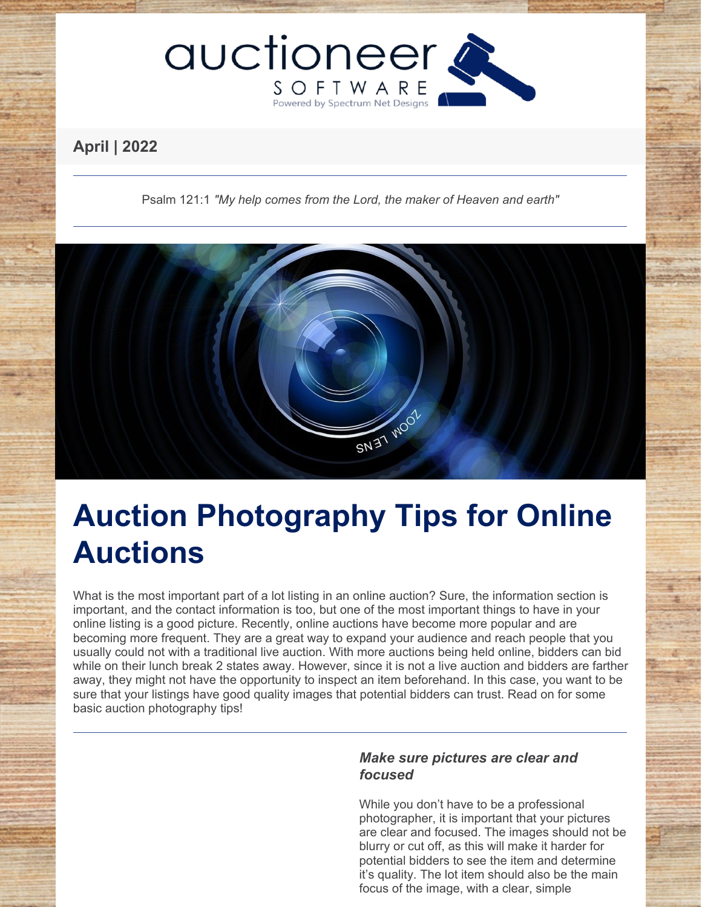

# **April | 2022**

Psalm 121:1 *"My help comes from the Lord, the maker of Heaven and earth"*



# **Auction Photography Tips for Online Auctions**

What is the most important part of a lot listing in an online auction? Sure, the information section is important, and the contact information is too, but one of the most important things to have in your online listing is a good picture. Recently, online auctions have become more popular and are becoming more frequent. They are a great way to expand your audience and reach people that you usually could not with a traditional live auction. With more auctions being held online, bidders can bid while on their lunch break 2 states away. However, since it is not a live auction and bidders are farther away, they might not have the opportunity to inspect an item beforehand. In this case, you want to be sure that your listings have good quality images that potential bidders can trust. Read on for some basic auction photography tips!

# *Make sure pictures are clear and focused*

While you don't have to be a professional photographer, it is important that your pictures are clear and focused. The images should not be blurry or cut off, as this will make it harder for potential bidders to see the item and determine it's quality. The lot item should also be the main focus of the image, with a clear, simple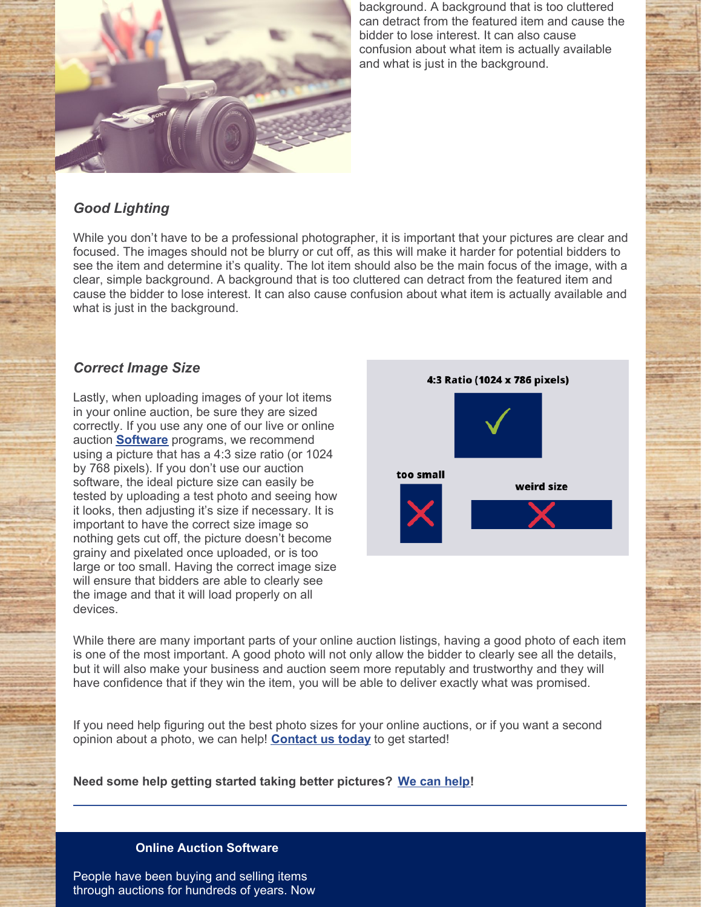

background. A background that is too cluttered can detract from the featured item and cause the bidder to lose interest. It can also cause confusion about what item is actually available and what is just in the background.

# *Good Lighting*

While you don't have to be a professional photographer, it is important that your pictures are clear and focused. The images should not be blurry or cut off, as this will make it harder for potential bidders to see the item and determine it's quality. The lot item should also be the main focus of the image, with a clear, simple background. A background that is too cluttered can detract from the featured item and cause the bidder to lose interest. It can also cause confusion about what item is actually available and what is just in the background.

## *Correct Image Size*

Lastly, when uploading images of your lot items in your online auction, be sure they are sized correctly. If you use any one of our live or online auction **[Software](https://www.auctioneersoftware.com/custom-software-development/)** programs, we recommend using a picture that has a 4:3 size ratio (or 1024 by 768 pixels). If you don't use our auction software, the ideal picture size can easily be tested by uploading a test photo and seeing how it looks, then adjusting it's size if necessary. It is important to have the correct size image so nothing gets cut off, the picture doesn't become grainy and pixelated once uploaded, or is too large or too small. Having the correct image size will ensure that bidders are able to clearly see the image and that it will load properly on all devices.



While there are many important parts of your online auction listings, having a good photo of each item is one of the most important. A good photo will not only allow the bidder to clearly see all the details, but it will also make your business and auction seem more reputably and trustworthy and they will have confidence that if they win the item, you will be able to deliver exactly what was promised.

If you need help figuring out the best photo sizes for your online auctions, or if you want a second opinion about a photo, we can help! **[Contact](https://www.auctioneersoftware.com/contact-us/) us today** to get started!

**Need some help getting started taking better pictures? We can [help](https://www.auctioneersoftware.com/auction-online-marketing/)!**

#### **Online Auction Software**

People have been buying and selling items through auctions for hundreds of years. Now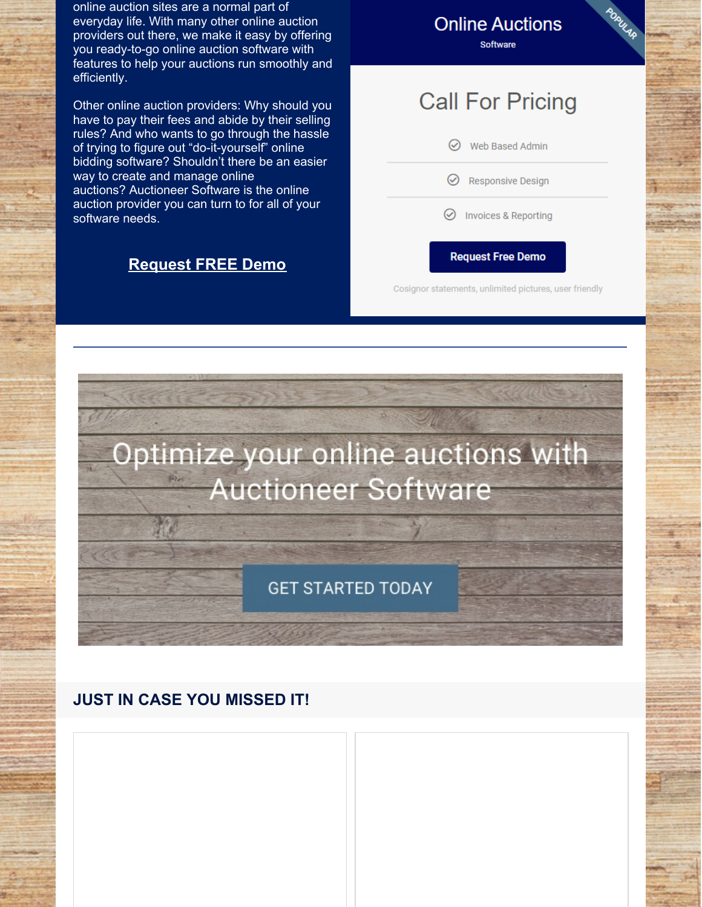online auction sites are a normal part of everyday life. With many other online auction providers out there, we make it easy by offering you ready-to-go online auction software with features to help your auctions run smoothly and efficiently.

Other online auction providers: Why should you have to pay their fees and abide by their selling rules? And who wants to go through the hassle of trying to figure out "do-it-yourself" online bidding software? Shouldn't there be an easier way to create and manage online auctions? Auctioneer Software is the online auction provider you can turn to for all of your software needs.

# **[Request](https://www.auctioneersoftware.com/contact-us/) FREE Demo**

**Online Auctions** Software

# **Call For Pricing**

| $\circlearrowright$<br>Web Based Admin |  |
|----------------------------------------|--|
| $\odot$ Responsive Design              |  |
| $\odot$ Invoices & Reporting           |  |
|                                        |  |

Cosignor statements, unlimited pictures, user friendly

**Request Free Demo** 



# **JUST IN CASE YOU MISSED IT!**